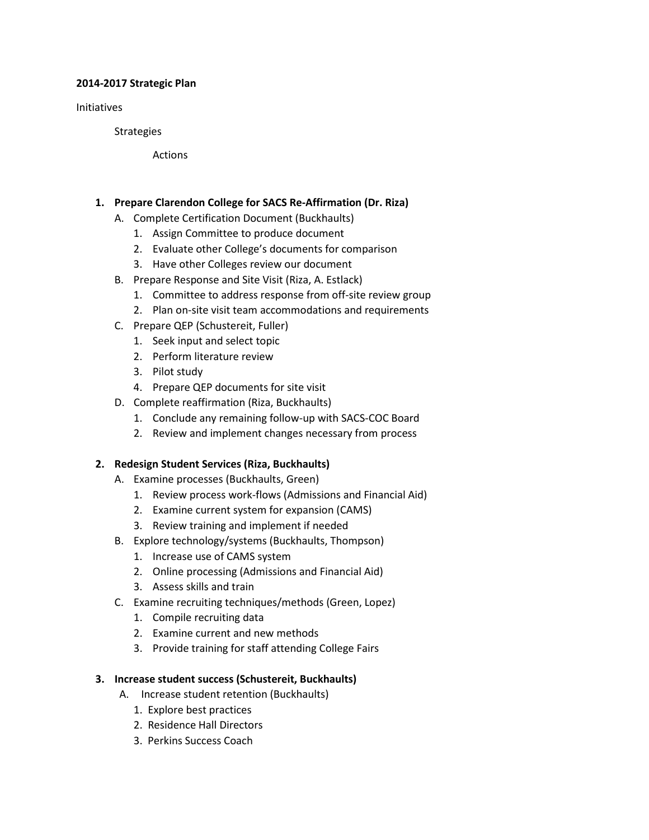#### **2014-2017 Strategic Plan**

Initiatives

**Strategies** 

Actions

#### **1. Prepare Clarendon College for SACS Re-Affirmation (Dr. Riza)**

- A. Complete Certification Document (Buckhaults)
	- 1. Assign Committee to produce document
	- 2. Evaluate other College's documents for comparison
	- 3. Have other Colleges review our document
- B. Prepare Response and Site Visit (Riza, A. Estlack)
	- 1. Committee to address response from off-site review group
	- 2. Plan on-site visit team accommodations and requirements
- C. Prepare QEP (Schustereit, Fuller)
	- 1. Seek input and select topic
	- 2. Perform literature review
	- 3. Pilot study
	- 4. Prepare QEP documents for site visit
- D. Complete reaffirmation (Riza, Buckhaults)
	- 1. Conclude any remaining follow-up with SACS-COC Board
	- 2. Review and implement changes necessary from process

### **2. Redesign Student Services (Riza, Buckhaults)**

- A. Examine processes (Buckhaults, Green)
	- 1. Review process work-flows (Admissions and Financial Aid)
	- 2. Examine current system for expansion (CAMS)
	- 3. Review training and implement if needed
- B. Explore technology/systems (Buckhaults, Thompson)
	- 1. Increase use of CAMS system
	- 2. Online processing (Admissions and Financial Aid)
	- 3. Assess skills and train
- C. Examine recruiting techniques/methods (Green, Lopez)
	- 1. Compile recruiting data
	- 2. Examine current and new methods
	- 3. Provide training for staff attending College Fairs

### **3. Increase student success (Schustereit, Buckhaults)**

- A. Increase student retention (Buckhaults)
	- 1. Explore best practices
	- 2. Residence Hall Directors
	- 3. Perkins Success Coach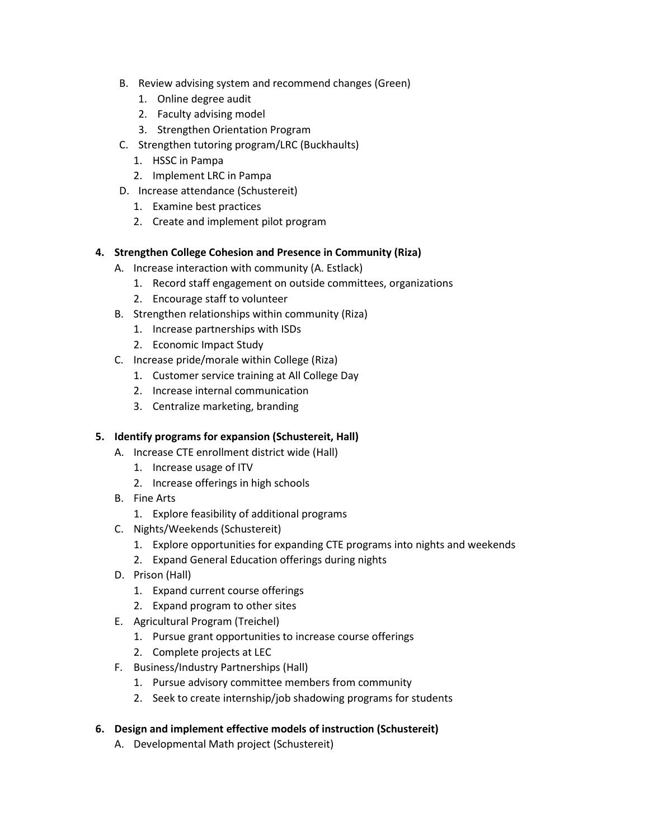- B. Review advising system and recommend changes (Green)
	- 1. Online degree audit
	- 2. Faculty advising model
	- 3. Strengthen Orientation Program
- C. Strengthen tutoring program/LRC (Buckhaults)
	- 1. HSSC in Pampa
	- 2. Implement LRC in Pampa
- D. Increase attendance (Schustereit)
	- 1. Examine best practices
	- 2. Create and implement pilot program

# **4. Strengthen College Cohesion and Presence in Community (Riza)**

- A. Increase interaction with community (A. Estlack)
	- 1. Record staff engagement on outside committees, organizations
	- 2. Encourage staff to volunteer
- B. Strengthen relationships within community (Riza)
	- 1. Increase partnerships with ISDs
	- 2. Economic Impact Study
- C. Increase pride/morale within College (Riza)
	- 1. Customer service training at All College Day
	- 2. Increase internal communication
	- 3. Centralize marketing, branding

# **5. Identify programs for expansion (Schustereit, Hall)**

- A. Increase CTE enrollment district wide (Hall)
	- 1. Increase usage of ITV
	- 2. Increase offerings in high schools
- B. Fine Arts
	- 1. Explore feasibility of additional programs
- C. Nights/Weekends (Schustereit)
	- 1. Explore opportunities for expanding CTE programs into nights and weekends
	- 2. Expand General Education offerings during nights
- D. Prison (Hall)
	- 1. Expand current course offerings
	- 2. Expand program to other sites
- E. Agricultural Program (Treichel)
	- 1. Pursue grant opportunities to increase course offerings
	- 2. Complete projects at LEC
- F. Business/Industry Partnerships (Hall)
	- 1. Pursue advisory committee members from community
	- 2. Seek to create internship/job shadowing programs for students

# **6. Design and implement effective models of instruction (Schustereit)**

A. Developmental Math project (Schustereit)